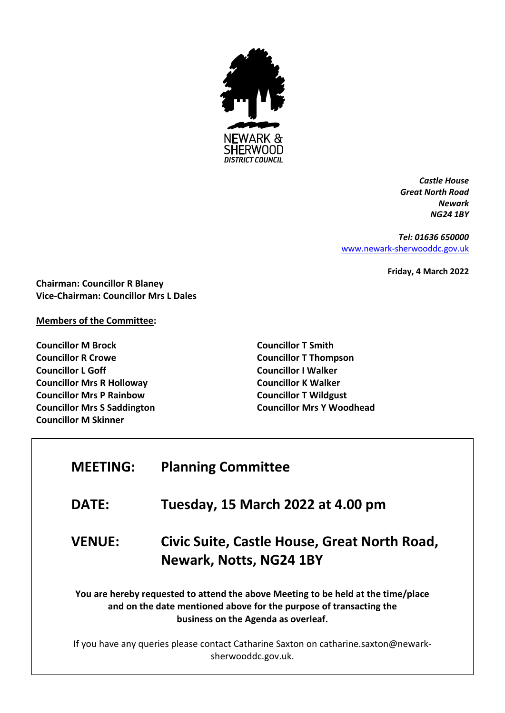

*Castle House Great North Road Newark NG24 1BY*

*Tel: 01636 650000* [www.newark-sherwooddc.gov.uk](http://www.newark-sherwooddc.gov.uk/)

**Friday, 4 March 2022**

**Chairman: Councillor R Blaney Vice-Chairman: Councillor Mrs L Dales**

## **Members of the Committee:**

**Councillor M Brock Councillor R Crowe Councillor L Goff Councillor Mrs R Holloway Councillor Mrs P Rainbow Councillor Mrs S Saddington Councillor M Skinner**

**Councillor T Smith Councillor T Thompson Councillor I Walker Councillor K Walker Councillor T Wildgust Councillor Mrs Y Woodhead**

| <b>MEETING:</b>                                                                                                                                                                                | <b>Planning Committee</b>                                                                                 |  |
|------------------------------------------------------------------------------------------------------------------------------------------------------------------------------------------------|-----------------------------------------------------------------------------------------------------------|--|
| <b>DATE:</b>                                                                                                                                                                                   | Tuesday, 15 March 2022 at 4.00 pm                                                                         |  |
| <b>VENUE:</b>                                                                                                                                                                                  | Civic Suite, Castle House, Great North Road,<br>Newark, Notts, NG24 1BY                                   |  |
| You are hereby requested to attend the above Meeting to be held at the time/place<br>and on the date mentioned above for the purpose of transacting the<br>business on the Agenda as overleaf. |                                                                                                           |  |
|                                                                                                                                                                                                | If you have any queries please contact Catharine Saxton on catharine.saxton@newark-<br>sherwooddc.gov.uk. |  |